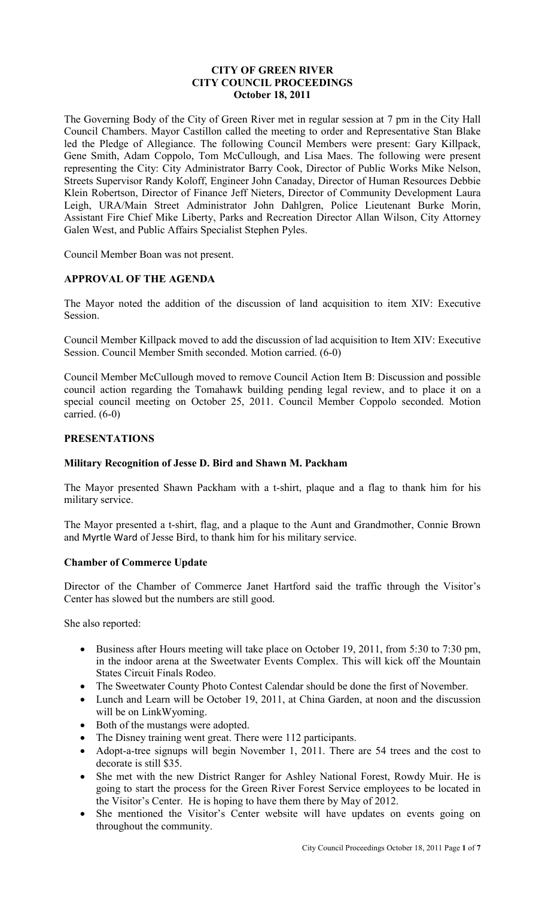# **CITY OF GREEN RIVER CITY COUNCIL PROCEEDINGS October 18, 2011**

The Governing Body of the City of Green River met in regular session at 7 pm in the City Hall Council Chambers. Mayor Castillon called the meeting to order and Representative Stan Blake led the Pledge of Allegiance. The following Council Members were present: Gary Killpack, Gene Smith, Adam Coppolo, Tom McCullough, and Lisa Maes. The following were present representing the City: City Administrator Barry Cook, Director of Public Works Mike Nelson, Streets Supervisor Randy Koloff, Engineer John Canaday, Director of Human Resources Debbie Klein Robertson, Director of Finance Jeff Nieters, Director of Community Development Laura Leigh, URA/Main Street Administrator John Dahlgren, Police Lieutenant Burke Morin, Assistant Fire Chief Mike Liberty, Parks and Recreation Director Allan Wilson, City Attorney Galen West, and Public Affairs Specialist Stephen Pyles.

Council Member Boan was not present.

# **APPROVAL OF THE AGENDA**

The Mayor noted the addition of the discussion of land acquisition to item XIV: Executive Session.

Council Member Killpack moved to add the discussion of lad acquisition to Item XIV: Executive Session. Council Member Smith seconded. Motion carried. (6-0)

Council Member McCullough moved to remove Council Action Item B: Discussion and possible council action regarding the Tomahawk building pending legal review, and to place it on a special council meeting on October 25, 2011. Council Member Coppolo seconded. Motion carried. (6-0)

## **PRESENTATIONS**

#### **Military Recognition of Jesse D. Bird and Shawn M. Packham**

The Mayor presented Shawn Packham with a t-shirt, plaque and a flag to thank him for his military service.

The Mayor presented a t-shirt, flag, and a plaque to the Aunt and Grandmother, Connie Brown and Myrtle Ward of Jesse Bird, to thank him for his military service.

#### **Chamber of Commerce Update**

Director of the Chamber of Commerce Janet Hartford said the traffic through the Visitor's Center has slowed but the numbers are still good.

She also reported:

- Business after Hours meeting will take place on October 19, 2011, from 5:30 to 7:30 pm, in the indoor arena at the Sweetwater Events Complex. This will kick off the Mountain States Circuit Finals Rodeo.
- The Sweetwater County Photo Contest Calendar should be done the first of November.
- Lunch and Learn will be October 19, 2011, at China Garden, at noon and the discussion will be on LinkWyoming.
- Both of the mustangs were adopted.
- The Disney training went great. There were 112 participants.
- Adopt-a-tree signups will begin November 1, 2011. There are 54 trees and the cost to decorate is still \$35.
- She met with the new District Ranger for Ashley National Forest, Rowdy Muir. He is going to start the process for the Green River Forest Service employees to be located in the Visitor's Center. He is hoping to have them there by May of 2012.
- She mentioned the Visitor's Center website will have updates on events going on throughout the community.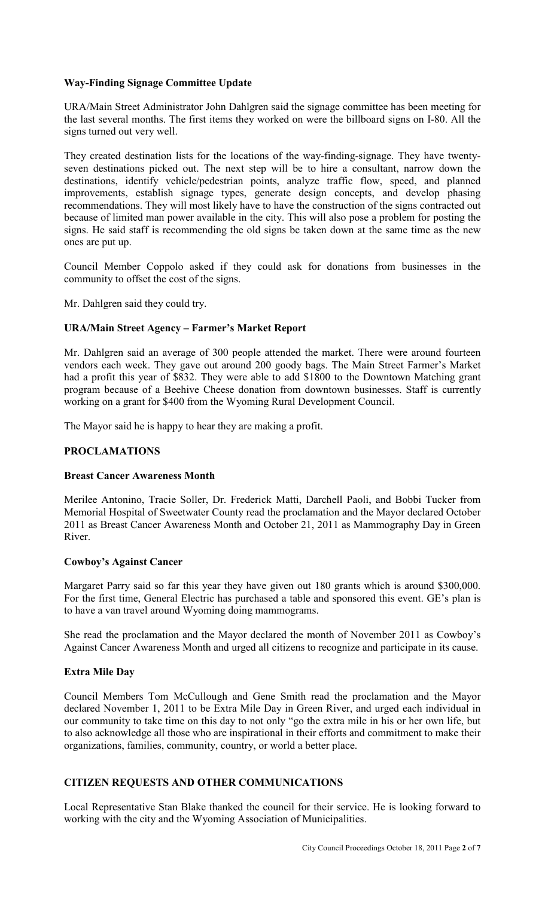# **Way-Finding Signage Committee Update**

URA/Main Street Administrator John Dahlgren said the signage committee has been meeting for the last several months. The first items they worked on were the billboard signs on I-80. All the signs turned out very well.

They created destination lists for the locations of the way-finding-signage. They have twentyseven destinations picked out. The next step will be to hire a consultant, narrow down the destinations, identify vehicle/pedestrian points, analyze traffic flow, speed, and planned improvements, establish signage types, generate design concepts, and develop phasing recommendations. They will most likely have to have the construction of the signs contracted out because of limited man power available in the city. This will also pose a problem for posting the signs. He said staff is recommending the old signs be taken down at the same time as the new ones are put up.

Council Member Coppolo asked if they could ask for donations from businesses in the community to offset the cost of the signs.

Mr. Dahlgren said they could try.

# **URA/Main Street Agency – Farmer's Market Report**

Mr. Dahlgren said an average of 300 people attended the market. There were around fourteen vendors each week. They gave out around 200 goody bags. The Main Street Farmer's Market had a profit this year of \$832. They were able to add \$1800 to the Downtown Matching grant program because of a Beehive Cheese donation from downtown businesses. Staff is currently working on a grant for \$400 from the Wyoming Rural Development Council.

The Mayor said he is happy to hear they are making a profit.

# **PROCLAMATIONS**

# **Breast Cancer Awareness Month**

Merilee Antonino, Tracie Soller, Dr. Frederick Matti, Darchell Paoli, and Bobbi Tucker from Memorial Hospital of Sweetwater County read the proclamation and the Mayor declared October 2011 as Breast Cancer Awareness Month and October 21, 2011 as Mammography Day in Green River.

#### **Cowboy's Against Cancer**

Margaret Parry said so far this year they have given out 180 grants which is around \$300,000. For the first time, General Electric has purchased a table and sponsored this event. GE's plan is to have a van travel around Wyoming doing mammograms.

She read the proclamation and the Mayor declared the month of November 2011 as Cowboy's Against Cancer Awareness Month and urged all citizens to recognize and participate in its cause.

# **Extra Mile Day**

Council Members Tom McCullough and Gene Smith read the proclamation and the Mayor declared November 1, 2011 to be Extra Mile Day in Green River, and urged each individual in our community to take time on this day to not only "go the extra mile in his or her own life, but to also acknowledge all those who are inspirational in their efforts and commitment to make their organizations, families, community, country, or world a better place.

# **CITIZEN REQUESTS AND OTHER COMMUNICATIONS**

Local Representative Stan Blake thanked the council for their service. He is looking forward to working with the city and the Wyoming Association of Municipalities.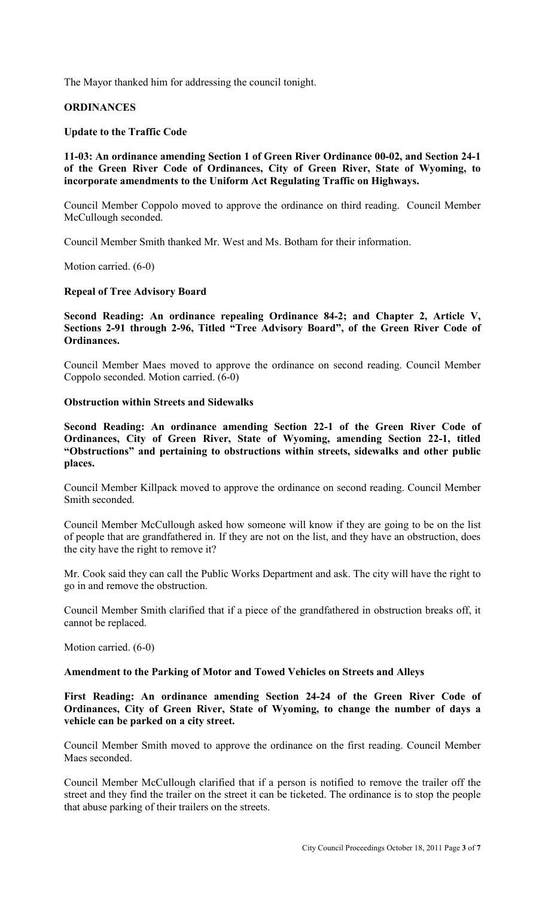The Mayor thanked him for addressing the council tonight.

# **ORDINANCES**

## **Update to the Traffic Code**

# **11-03: An ordinance amending Section 1 of Green River Ordinance 00-02, and Section 24-1 of the Green River Code of Ordinances, City of Green River, State of Wyoming, to incorporate amendments to the Uniform Act Regulating Traffic on Highways.**

Council Member Coppolo moved to approve the ordinance on third reading. Council Member McCullough seconded.

Council Member Smith thanked Mr. West and Ms. Botham for their information.

Motion carried. (6-0)

# **Repeal of Tree Advisory Board**

# **Second Reading: An ordinance repealing Ordinance 84-2; and Chapter 2, Article V, Sections 2-91 through 2-96, Titled "Tree Advisory Board", of the Green River Code of Ordinances.**

Council Member Maes moved to approve the ordinance on second reading. Council Member Coppolo seconded. Motion carried. (6-0)

## **Obstruction within Streets and Sidewalks**

**Second Reading: An ordinance amending Section 22-1 of the Green River Code of Ordinances, City of Green River, State of Wyoming, amending Section 22-1, titled "Obstructions" and pertaining to obstructions within streets, sidewalks and other public places.** 

Council Member Killpack moved to approve the ordinance on second reading. Council Member Smith seconded.

Council Member McCullough asked how someone will know if they are going to be on the list of people that are grandfathered in. If they are not on the list, and they have an obstruction, does the city have the right to remove it?

Mr. Cook said they can call the Public Works Department and ask. The city will have the right to go in and remove the obstruction.

Council Member Smith clarified that if a piece of the grandfathered in obstruction breaks off, it cannot be replaced.

Motion carried. (6-0)

#### **Amendment to the Parking of Motor and Towed Vehicles on Streets and Alleys**

**First Reading: An ordinance amending Section 24-24 of the Green River Code of Ordinances, City of Green River, State of Wyoming, to change the number of days a vehicle can be parked on a city street.** 

Council Member Smith moved to approve the ordinance on the first reading. Council Member Maes seconded.

Council Member McCullough clarified that if a person is notified to remove the trailer off the street and they find the trailer on the street it can be ticketed. The ordinance is to stop the people that abuse parking of their trailers on the streets.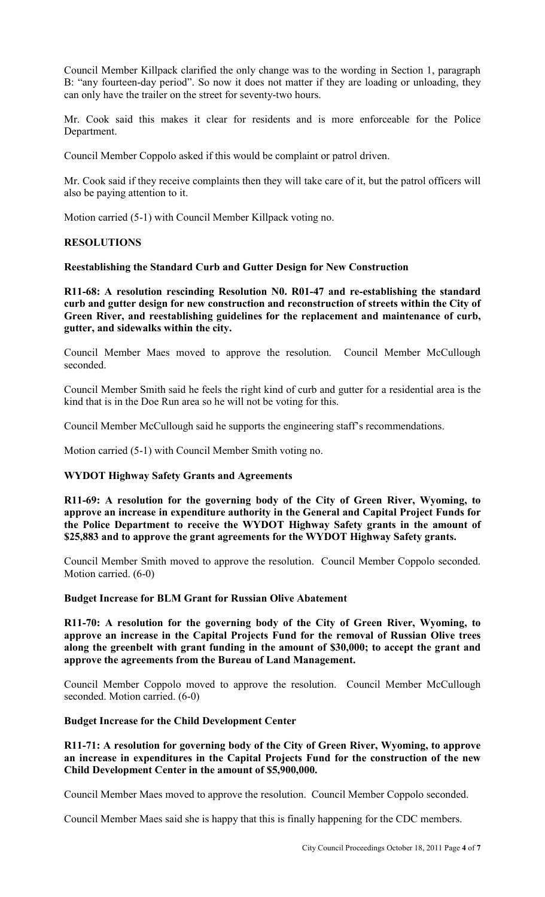Council Member Killpack clarified the only change was to the wording in Section 1, paragraph B: "any fourteen-day period". So now it does not matter if they are loading or unloading, they can only have the trailer on the street for seventy-two hours.

Mr. Cook said this makes it clear for residents and is more enforceable for the Police Department.

Council Member Coppolo asked if this would be complaint or patrol driven.

Mr. Cook said if they receive complaints then they will take care of it, but the patrol officers will also be paying attention to it.

Motion carried (5-1) with Council Member Killpack voting no.

## **RESOLUTIONS**

## **Reestablishing the Standard Curb and Gutter Design for New Construction**

**R11-68: A resolution rescinding Resolution N0. R01-47 and re-establishing the standard curb and gutter design for new construction and reconstruction of streets within the City of Green River, and reestablishing guidelines for the replacement and maintenance of curb, gutter, and sidewalks within the city.** 

Council Member Maes moved to approve the resolution. Council Member McCullough seconded.

Council Member Smith said he feels the right kind of curb and gutter for a residential area is the kind that is in the Doe Run area so he will not be voting for this.

Council Member McCullough said he supports the engineering staff's recommendations.

Motion carried (5-1) with Council Member Smith voting no.

# **WYDOT Highway Safety Grants and Agreements**

**R11-69: A resolution for the governing body of the City of Green River, Wyoming, to approve an increase in expenditure authority in the General and Capital Project Funds for the Police Department to receive the WYDOT Highway Safety grants in the amount of \$25,883 and to approve the grant agreements for the WYDOT Highway Safety grants.** 

Council Member Smith moved to approve the resolution. Council Member Coppolo seconded. Motion carried. (6-0)

## **Budget Increase for BLM Grant for Russian Olive Abatement**

**R11-70: A resolution for the governing body of the City of Green River, Wyoming, to approve an increase in the Capital Projects Fund for the removal of Russian Olive trees along the greenbelt with grant funding in the amount of \$30,000; to accept the grant and approve the agreements from the Bureau of Land Management.** 

Council Member Coppolo moved to approve the resolution. Council Member McCullough seconded. Motion carried. (6-0)

# **Budget Increase for the Child Development Center**

## **R11-71: A resolution for governing body of the City of Green River, Wyoming, to approve an increase in expenditures in the Capital Projects Fund for the construction of the new Child Development Center in the amount of \$5,900,000.**

Council Member Maes moved to approve the resolution. Council Member Coppolo seconded.

Council Member Maes said she is happy that this is finally happening for the CDC members.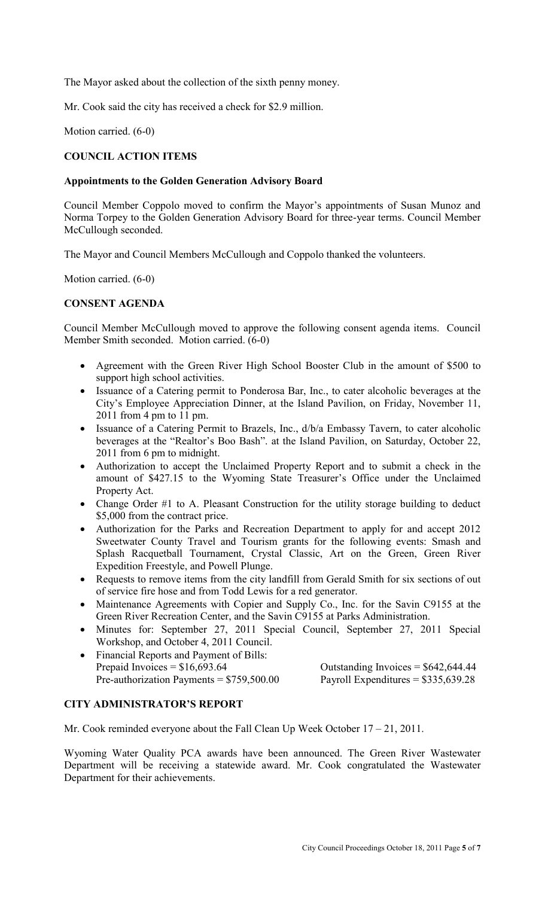The Mayor asked about the collection of the sixth penny money.

Mr. Cook said the city has received a check for \$2.9 million.

Motion carried. (6-0)

# **COUNCIL ACTION ITEMS**

# **Appointments to the Golden Generation Advisory Board**

Council Member Coppolo moved to confirm the Mayor's appointments of Susan Munoz and Norma Torpey to the Golden Generation Advisory Board for three-year terms. Council Member McCullough seconded.

The Mayor and Council Members McCullough and Coppolo thanked the volunteers.

Motion carried. (6-0)

# **CONSENT AGENDA**

Council Member McCullough moved to approve the following consent agenda items. Council Member Smith seconded. Motion carried. (6-0)

- Agreement with the Green River High School Booster Club in the amount of \$500 to support high school activities.
- Issuance of a Catering permit to Ponderosa Bar, Inc., to cater alcoholic beverages at the City's Employee Appreciation Dinner, at the Island Pavilion, on Friday, November 11, 2011 from 4 pm to 11 pm.
- Issuance of a Catering Permit to Brazels, Inc.,  $d/b/a$  Embassy Tavern, to cater alcoholic beverages at the "Realtor's Boo Bash". at the Island Pavilion, on Saturday, October 22, 2011 from 6 pm to midnight.
- Authorization to accept the Unclaimed Property Report and to submit a check in the amount of \$427.15 to the Wyoming State Treasurer's Office under the Unclaimed Property Act.
- Change Order #1 to A. Pleasant Construction for the utility storage building to deduct \$5,000 from the contract price.
- Authorization for the Parks and Recreation Department to apply for and accept 2012 Sweetwater County Travel and Tourism grants for the following events: Smash and Splash Racquetball Tournament, Crystal Classic, Art on the Green, Green River Expedition Freestyle, and Powell Plunge.
- Requests to remove items from the city landfill from Gerald Smith for six sections of out of service fire hose and from Todd Lewis for a red generator.
- Maintenance Agreements with Copier and Supply Co., Inc. for the Savin C9155 at the Green River Recreation Center, and the Savin C9155 at Parks Administration.
- Minutes for: September 27, 2011 Special Council, September 27, 2011 Special Workshop, and October 4, 2011 Council.
- Financial Reports and Payment of Bills: Prepaid Invoices =  $$16,693.64$ Pre-authorization Payments =  $$759,500.00$

| Outstanding Invoices = $$642,644.44$ |  |
|--------------------------------------|--|
| Payroll Expenditures = $$335,639.28$ |  |

# **CITY ADMINISTRATOR'S REPORT**

Mr. Cook reminded everyone about the Fall Clean Up Week October 17 – 21, 2011.

Wyoming Water Quality PCA awards have been announced. The Green River Wastewater Department will be receiving a statewide award. Mr. Cook congratulated the Wastewater Department for their achievements.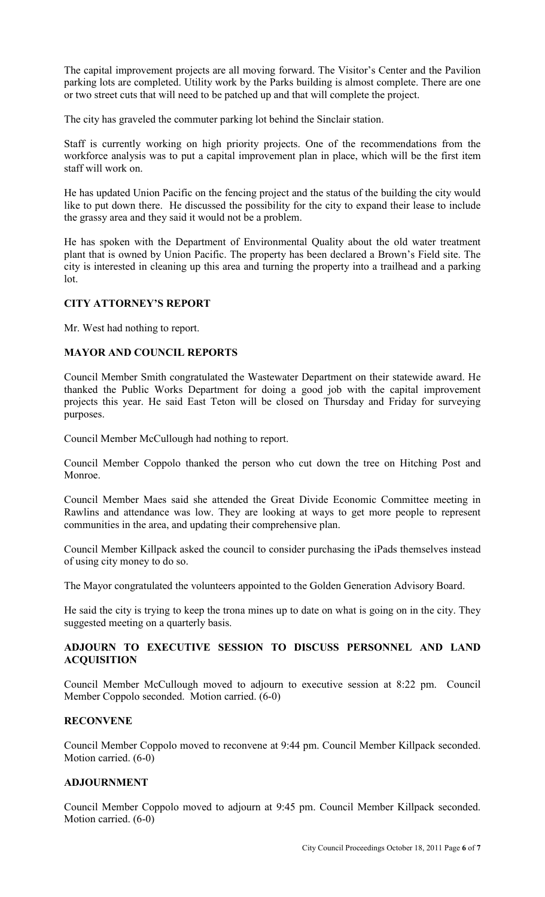The capital improvement projects are all moving forward. The Visitor's Center and the Pavilion parking lots are completed. Utility work by the Parks building is almost complete. There are one or two street cuts that will need to be patched up and that will complete the project.

The city has graveled the commuter parking lot behind the Sinclair station.

Staff is currently working on high priority projects. One of the recommendations from the workforce analysis was to put a capital improvement plan in place, which will be the first item staff will work on.

He has updated Union Pacific on the fencing project and the status of the building the city would like to put down there. He discussed the possibility for the city to expand their lease to include the grassy area and they said it would not be a problem.

He has spoken with the Department of Environmental Quality about the old water treatment plant that is owned by Union Pacific. The property has been declared a Brown's Field site. The city is interested in cleaning up this area and turning the property into a trailhead and a parking lot.

# **CITY ATTORNEY'S REPORT**

Mr. West had nothing to report.

## **MAYOR AND COUNCIL REPORTS**

Council Member Smith congratulated the Wastewater Department on their statewide award. He thanked the Public Works Department for doing a good job with the capital improvement projects this year. He said East Teton will be closed on Thursday and Friday for surveying purposes.

Council Member McCullough had nothing to report.

Council Member Coppolo thanked the person who cut down the tree on Hitching Post and Monroe.

Council Member Maes said she attended the Great Divide Economic Committee meeting in Rawlins and attendance was low. They are looking at ways to get more people to represent communities in the area, and updating their comprehensive plan.

Council Member Killpack asked the council to consider purchasing the iPads themselves instead of using city money to do so.

The Mayor congratulated the volunteers appointed to the Golden Generation Advisory Board.

He said the city is trying to keep the trona mines up to date on what is going on in the city. They suggested meeting on a quarterly basis.

# **ADJOURN TO EXECUTIVE SESSION TO DISCUSS PERSONNEL AND LAND ACQUISITION**

Council Member McCullough moved to adjourn to executive session at 8:22 pm. Council Member Coppolo seconded. Motion carried. (6-0)

# **RECONVENE**

Council Member Coppolo moved to reconvene at 9:44 pm. Council Member Killpack seconded. Motion carried. (6-0)

#### **ADJOURNMENT**

Council Member Coppolo moved to adjourn at 9:45 pm. Council Member Killpack seconded. Motion carried. (6-0)